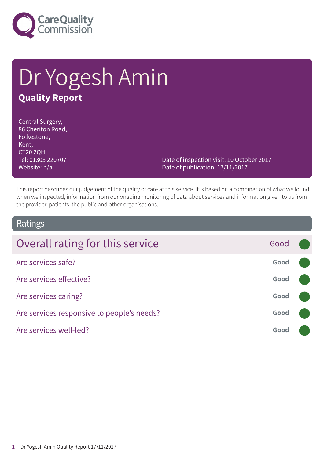

# Dr Yogesh Amin **Quality Report**

Central Surgery, 86 Cheriton Road, Folkestone, Kent, CT20 2QH Tel: 01303 220707 Website: n/a

Date of inspection visit: 10 October 2017 Date of publication: 17/11/2017

This report describes our judgement of the quality of care at this service. It is based on a combination of what we found when we inspected, information from our ongoing monitoring of data about services and information given to us from the provider, patients, the public and other organisations.

### Ratings

| Overall rating for this service            | Good |  |
|--------------------------------------------|------|--|
| Are services safe?                         | Good |  |
| Are services effective?                    | Good |  |
| Are services caring?                       | Good |  |
| Are services responsive to people's needs? | Good |  |
| Are services well-led?                     | Good |  |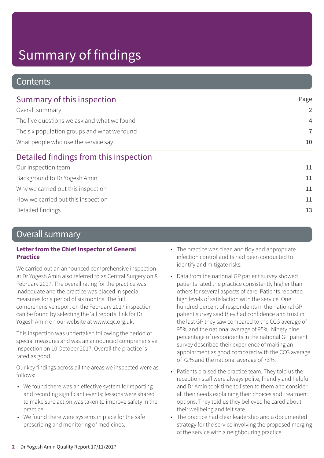### **Contents**

| Summary of this inspection                  | Page           |
|---------------------------------------------|----------------|
| Overall summary                             | $\overline{2}$ |
| The five questions we ask and what we found | $\overline{4}$ |
| The six population groups and what we found | $\overline{7}$ |
| What people who use the service say         | 10             |
| Detailed findings from this inspection      |                |
| Our inspection team                         | 11             |
| Background to Dr Yogesh Amin                | 11             |
| Why we carried out this inspection          | 11             |
| How we carried out this inspection          | 11             |
| Detailed findings                           | 13             |
|                                             |                |

### Overall summary

#### **Letter from the Chief Inspector of General Practice**

We carried out an announced comprehensive inspection at Dr Yogesh Amin also referred to as Central Surgery on 8 February 2017. The overall rating for the practice was inadequate and the practice was placed in special measures for a period of six months. The full comprehensive report on the February 2017 inspection can be found by selecting the 'all reports' link for Dr Yogesh Amin on our website at www.cqc.org.uk.

This inspection was undertaken following the period of special measures and was an announced comprehensive inspection on 10 October 2017. Overall the practice is rated as good.

Our key findings across all the areas we inspected were as follows:

- We found there was an effective system for reporting and recording significant events; lessons were shared to make sure action was taken to improve safety in the practice.
- We found there were systems in place for the safe prescribing and monitoring of medicines.
- The practice was clean and tidy and appropriate infection control audits had been conducted to identify and mitigate risks.
- Data from the national GP patient survey showed patients rated the practice consistently higher than others for several aspects of care. Patients reported high levels of satisfaction with the service. One hundred percent of respondents in the national GP patient survey said they had confidence and trust in the last GP they saw compared to the CCG average of 95% and the national average of 95%. Ninety nine percentage of respondents in the national GP patient survey described their experience of making an appointment as good compared with the CCG average of 72% and the national average of 73%.
- Patients praised the practice team. They told us the reception staff were always polite, friendly and helpful and Dr Amin took time to listen to them and consider all their needs explaining their choices and treatment options. They told us they believed he cared about their wellbeing and felt safe.
- The practice had clear leadership and a documented strategy for the service involving the proposed merging of the service with a neighbouring practice.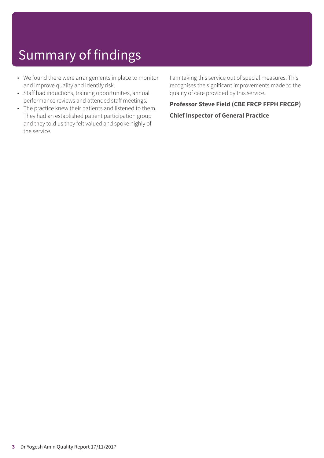- We found there were arrangements in place to monitor and improve quality and identify risk.
- Staff had inductions, training opportunities, annual performance reviews and attended staff meetings.
- The practice knew their patients and listened to them. They had an established patient participation group and they told us they felt valued and spoke highly of the service.

I am taking this service out of special measures. This recognises the significant improvements made to the quality of care provided by this service.

#### **Professor Steve Field (CBE FRCP FFPH FRCGP)**

#### **Chief Inspector of General Practice**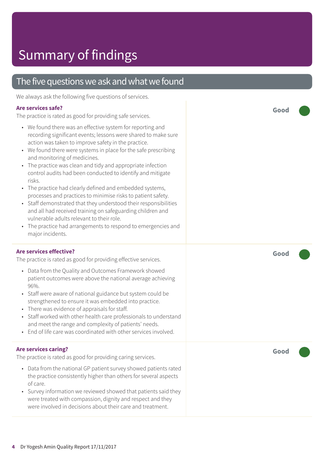### The five questions we ask and what we found

We always ask the following five questions of services.

#### **Are services safe?**

The practice is rated as good for providing safe services.

- We found there was an effective system for reporting and recording significant events; lessons were shared to make sure action was taken to improve safety in the practice.
- We found there were systems in place for the safe prescribing and monitoring of medicines.
- The practice was clean and tidy and appropriate infection control audits had been conducted to identify and mitigate risks.
- The practice had clearly defined and embedded systems, processes and practices to minimise risks to patient safety.
- Staff demonstrated that they understood their responsibilities and all had received training on safeguarding children and vulnerable adults relevant to their role.
- The practice had arrangements to respond to emergencies and major incidents.

#### **Are services effective?**

The practice is rated as good for providing effective services.

- Data from the Quality and Outcomes Framework showed patient outcomes were above the national average achieving 96%.
- Staff were aware of national guidance but system could be strengthened to ensure it was embedded into practice.
- There was evidence of appraisals for staff.
- Staff worked with other health care professionals to understand and meet the range and complexity of patients' needs.
- End of life care was coordinated with other services involved.

#### **Are services caring?**

The practice is rated as good for providing caring services.

- Data from the national GP patient survey showed patients rated the practice consistently higher than others for several aspects of care.
- Survey information we reviewed showed that patients said they were treated with compassion, dignity and respect and they were involved in decisions about their care and treatment.

**Good –––**

**Good –––**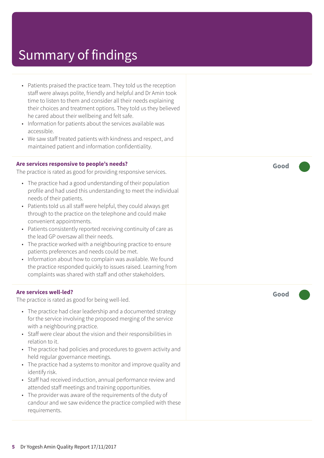- Patients praised the practice team. They told us the reception staff were always polite, friendly and helpful and Dr Amin took time to listen to them and consider all their needs explaining their choices and treatment options. They told us they believed he cared about their wellbeing and felt safe.
- Information for patients about the services available was accessible.
- We saw staff treated patients with kindness and respect, and maintained patient and information confidentiality.

#### **Are services responsive to people's needs?**

The practice is rated as good for providing responsive services.

- The practice had a good understanding of their population profile and had used this understanding to meet the individual needs of their patients.
- Patients told us all staff were helpful, they could always get through to the practice on the telephone and could make convenient appointments.
- Patients consistently reported receiving continuity of care as the lead GP oversaw all their needs.
- The practice worked with a neighbouring practice to ensure patients preferences and needs could be met.
- Information about how to complain was available. We found the practice responded quickly to issues raised. Learning from complaints was shared with staff and other stakeholders.

#### **Are services well-led?**

The practice is rated as good for being well-led.

- The practice had clear leadership and a documented strategy for the service involving the proposed merging of the service with a neighbouring practice.
- Staff were clear about the vision and their responsibilities in relation to it.
- The practice had policies and procedures to govern activity and held regular governance meetings.
- The practice had a systems to monitor and improve quality and identify risk.
- Staff had received induction, annual performance review and attended staff meetings and training opportunities.
- The provider was aware of the requirements of the duty of candour and we saw evidence the practice complied with these requirements.

**Good –––**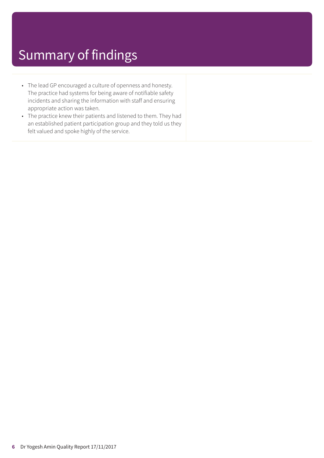- The lead GP encouraged a culture of openness and honesty. The practice had systems for being aware of notifiable safety incidents and sharing the information with staff and ensuring appropriate action was taken.
- The practice knew their patients and listened to them. They had an established patient participation group and they told us they felt valued and spoke highly of the service.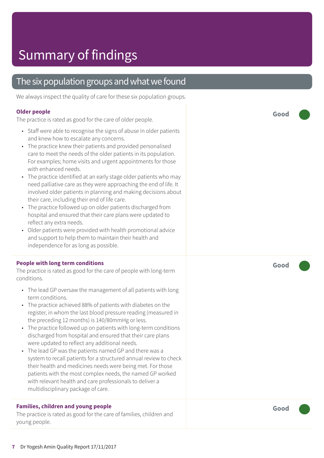### The six population groups and what we found

We always inspect the quality of care for these six population groups.

#### **Older people**

The practice is rated as good for the care of older people.

- Staff were able to recognise the signs of abuse in older patients and knew how to escalate any concerns.
- The practice knew their patients and provided personalised care to meet the needs of the older patients in its population. For examples; home visits and urgent appointments for those with enhanced needs.
- The practice identified at an early stage older patients who may need palliative care as they were approaching the end of life. It involved older patients in planning and making decisions about their care, including their end of life care.
- The practice followed up on older patients discharged from hospital and ensured that their care plans were updated to reflect any extra needs.
- Older patients were provided with health promotional advice and support to help them to maintain their health and independence for as long as possible.

#### **People with long term conditions**

The practice is rated as good for the care of people with long-term conditions.

- The lead GP oversaw the management of all patients with long term conditions.
- The practice achieved 88% of patients with diabetes on the register, in whom the last blood pressure reading (measured in the preceding 12 months) is 140/80mmHg or less.
- The practice followed up on patients with long-term conditions discharged from hospital and ensured that their care plans were updated to reflect any additional needs.
- The lead GP was the patients named GP and there was a system to recall patients for a structured annual review to check their health and medicines needs were being met. For those patients with the most complex needs, the named GP worked with relevant health and care professionals to deliver a multidisciplinary package of care.

#### **Families, children and young people**

The practice is rated as good for the care of families, children and young people.

**Good –––**

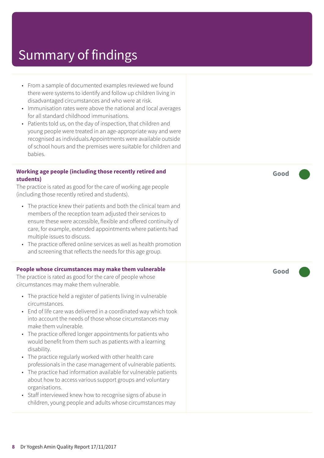- From a sample of documented examples reviewed we found there were systems to identify and follow up children living in disadvantaged circumstances and who were at risk.
- Immunisation rates were above the national and local averages for all standard childhood immunisations.
- Patients told us, on the day of inspection, that children and young people were treated in an age-appropriate way and were recognised as individuals.Appointments were available outside of school hours and the premises were suitable for children and babies.

#### **Working age people (including those recently retired and students)**

The practice is rated as good for the care of working age people (including those recently retired and students).

- The practice knew their patients and both the clinical team and members of the reception team adjusted their services to ensure these were accessible, flexible and offered continuity of care, for example, extended appointments where patients had multiple issues to discuss.
- The practice offered online services as well as health promotion and screening that reflects the needs for this age group.

#### **People whose circumstances may make them vulnerable**

The practice is rated as good for the care of people whose circumstances may make them vulnerable.

- The practice held a register of patients living in vulnerable circumstances.
- End of life care was delivered in a coordinated way which took into account the needs of those whose circumstances may make them vulnerable.
- The practice offered longer appointments for patients who would benefit from them such as patients with a learning disability.
- The practice regularly worked with other health care professionals in the case management of vulnerable patients.
- The practice had information available for vulnerable patients about how to access various support groups and voluntary organisations.
- Staff interviewed knew how to recognise signs of abuse in children, young people and adults whose circumstances may

**Good –––**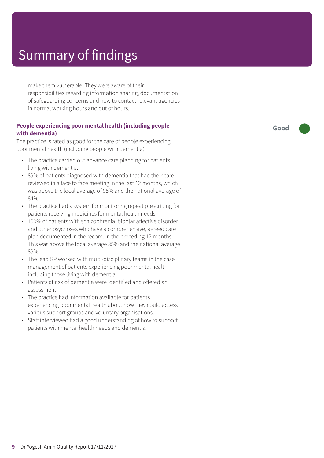make them vulnerable. They were aware of their responsibilities regarding information sharing, documentation of safeguarding concerns and how to contact relevant agencies in normal working hours and out of hours.

#### **People experiencing poor mental health (including people with dementia)**

The practice is rated as good for the care of people experiencing poor mental health (including people with dementia).

- The practice carried out advance care planning for patients living with dementia.
- 89% of patients diagnosed with dementia that had their care reviewed in a face to face meeting in the last 12 months, which was above the local average of 85% and the national average of 84%.
- The practice had a system for monitoring repeat prescribing for patients receiving medicines for mental health needs.
- 100% of patients with schizophrenia, bipolar affective disorder and other psychoses who have a comprehensive, agreed care plan documented in the record, in the preceding 12 months. This was above the local average 85% and the national average 89%.
- The lead GP worked with multi-disciplinary teams in the case management of patients experiencing poor mental health, including those living with dementia.
- Patients at risk of dementia were identified and offered an assessment.
- The practice had information available for patients experiencing poor mental health about how they could access various support groups and voluntary organisations.
- Staff interviewed had a good understanding of how to support patients with mental health needs and dementia.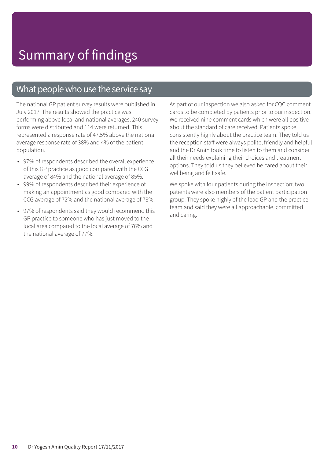### What people who use the service say

The national GP patient survey results were published in July 2017. The results showed the practice was performing above local and national averages. 240 survey forms were distributed and 114 were returned. This represented a response rate of 47.5% above the national average response rate of 38% and 4% of the patient population.

- 97% of respondents described the overall experience of this GP practice as good compared with the CCG average of 84% and the national average of 85%.
- 99% of respondents described their experience of making an appointment as good compared with the CCG average of 72% and the national average of 73%.
- 97% of respondents said they would recommend this GP practice to someone who has just moved to the local area compared to the local average of 76% and the national average of 77%.

As part of our inspection we also asked for CQC comment cards to be completed by patients prior to our inspection. We received nine comment cards which were all positive about the standard of care received. Patients spoke consistently highly about the practice team. They told us the reception staff were always polite, friendly and helpful and the Dr Amin took time to listen to them and consider all their needs explaining their choices and treatment options. They told us they believed he cared about their wellbeing and felt safe.

We spoke with four patients during the inspection; two patients were also members of the patient participation group. They spoke highly of the lead GP and the practice team and said they were all approachable, committed and caring.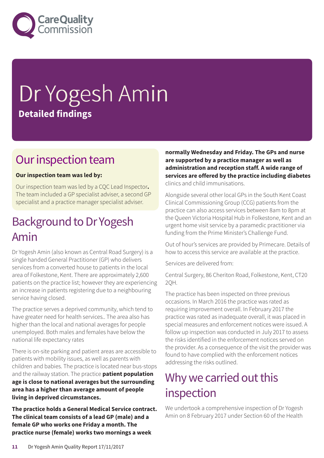

# Dr Yogesh Amin **Detailed findings**

## Our inspection team

#### **Our inspection team was led by:**

Our inspection team was led by a CQC Lead Inspector**.** The team included a GP specialist adviser, a second GP specialist and a practice manager specialist adviser.

## Background to Dr Yogesh Amin

Dr Yogesh Amin (also known as Central Road Surgery) is a single handed General Practitioner (GP) who delivers services from a converted house to patients in the local area of Folkestone, Kent. There are approximately 2,600 patients on the practice list; however they are experiencing an increase in patients registering due to a neighbouring service having closed.

The practice serves a deprived community, which tend to have greater need for health services.. The area also has higher than the local and national averages for people unemployed. Both males and females have below the national life expectancy rates

There is on-site parking and patient areas are accessible to patients with mobility issues, as well as parents with children and babies. The practice is located near bus-stops and the railway station. The practice **patient population age is close to national averages but the surrounding area has a higher than average amount of people living in deprived circumstances.**

**The practice holds a General Medical Service contract. The clinical team consists of a lead GP (male) and a female GP who works one Friday a month. The practice nurse (female) works two mornings a week**

**normally Wednesday and Friday. The GPs and nurse are supported by a practice manager as well as administration and reception staff. A wide range of services are offered by the practice including diabetes** clinics and child immunisations.

Alongside several other local GPs in the South Kent Coast Clinical Commissioning Group (CCG) patients from the practice can also access services between 8am to 8pm at the Queen Victoria Hospital Hub in Folkestone, Kent and an urgent home visit service by a paramedic practitioner via funding from the Prime Minister's Challenge Fund.

Out of hour's services are provided by Primecare. Details of how to access this service are available at the practice.

Services are delivered from:

Central Surgery, 86 Cheriton Road, Folkestone, Kent, CT20 2QH.

The practice has been inspected on three previous occasions. In March 2016 the practice was rated as requiring improvement overall. In February 2017 the practice was rated as inadequate overall, it was placed in special measures and enforcement notices were issued. A follow up inspection was conducted in July 2017 to assess the risks identified in the enforcement notices served on the provider. As a consequence of the visit the provider was found to have complied with the enforcement notices addressing the risks outlined.

## Why we carried out this inspection

We undertook a comprehensive inspection of Dr Yogesh Amin on 8 February 2017 under Section 60 of the Health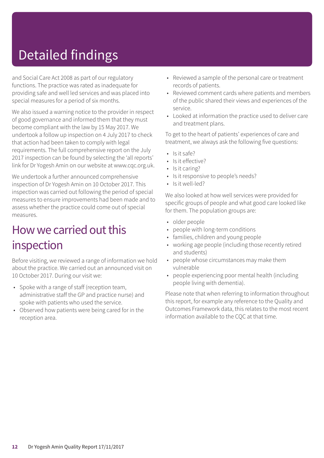# Detailed findings

and Social Care Act 2008 as part of our regulatory functions. The practice was rated as inadequate for providing safe and well led services and was placed into special measures for a period of six months.

We also issued a warning notice to the provider in respect of good governance and informed them that they must become compliant with the law by 15 May 2017. We undertook a follow up inspection on 4 July 2017 to check that action had been taken to comply with legal requirements. The full comprehensive report on the July 2017 inspection can be found by selecting the 'all reports' link for Dr Yogesh Amin on our website at www.cqc.org.uk.

We undertook a further announced comprehensive inspection of Dr Yogesh Amin on 10 October 2017. This inspection was carried out following the period of special measures to ensure improvements had been made and to assess whether the practice could come out of special measures.

### How we carried out this inspection

Before visiting, we reviewed a range of information we hold about the practice. We carried out an announced visit on 10 October 2017. During our visit we:

- Spoke with a range of staff (reception team, administrative staff the GP and practice nurse) and spoke with patients who used the service.
- Observed how patients were being cared for in the reception area.
- Reviewed a sample of the personal care or treatment records of patients.
- Reviewed comment cards where patients and members of the public shared their views and experiences of the service.
- Looked at information the practice used to deliver care and treatment plans.

To get to the heart of patients' experiences of care and treatment, we always ask the following five questions:

- $\cdot$  Is it safe?
- Is it effective?
- Is it caring?
- Is it responsive to people's needs?
- Is it well-led?

We also looked at how well services were provided for specific groups of people and what good care looked like for them. The population groups are:

- older people
- people with long-term conditions
- families, children and young people
- working age people (including those recently retired and students)
- people whose circumstances may make them vulnerable
- people experiencing poor mental health (including people living with dementia).

Please note that when referring to information throughout this report, for example any reference to the Quality and Outcomes Framework data, this relates to the most recent information available to the CQC at that time.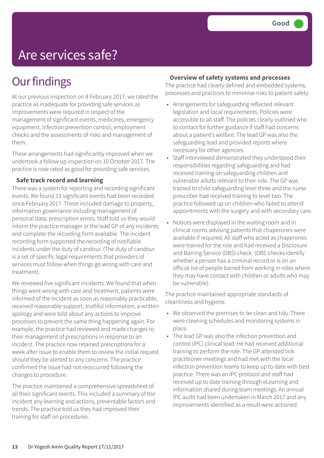## Are services safe?

## **Our findings**

At our previous inspection on 8 February 2017, we rated the practice as inadequate for providing safe services as improvements were required in respect of the management of significant events, medicines, emergency equipment, infection prevention control, employment checks and the assessments of risks and management of them.

These arrangements had significantly improved when we undertook a follow up inspection on 10 October 2017. The practice is now rated as good for providing safe services.

#### **Safe track record and learning**

There was a system for reporting and recording significant events. We found 15 significant events had been recorded since February 2017. These included damage to property, information governance including management of personal data, prescription errors. Staff told us they would inform the practice manager or the lead GP of any incidents and complete the recording form available. The incident recording form supported the recording of notifiable incidents under the duty of candour. (The duty of candour is a set of specific legal requirements that providers of services must follow when things go wrong with care and treatment).

We reviewed five significant incidents. We found that when things went wrong with care and treatment, patients were informed of the incident as soon as reasonably practicable, received reasonable support, truthful information, a written apology and were told about any actions to improve processes to prevent the same thing happening again. For example, the practice had reviewed and made changes to their management of prescriptions in response to an incident. The practice now retained prescriptions for a week after issue to enable them to review the initial request should they be alerted to any concerns. The practice confirmed the issue had not reoccurred following the changes to procedure.

The practice maintained a comprehensive spreadsheet of all their significant events. This included a summary of the incident any learning and actions, preventable factors and trends. The practice told us they had improved their training for staff on procedures.

#### **Overview of safety systems and processes**

The practice had clearly defined and embedded systems, processes and practices to minimise risks to patient safety.

- Arrangements for safeguarding reflected relevant legislation and local requirements. Policies were accessible to all staff. The policies clearly outlined who to contact for further guidance if staff had concerns about a patient's welfare. The lead GP was also the safeguarding lead and provided reports where necessary for other agencies.
- Staff interviewed demonstrated they understood their responsibilities regarding safeguarding and had received training on safeguarding children and vulnerable adults relevant to their role. The GP was trained to child safeguarding level three and the nurse prescriber had received training to level two. The practice followed up on children who failed to attend appointments with the surgery and with secondary care.
- Notices were displayed in the waiting room and in clinical rooms advising patients that chaperones were available if required. All staff who acted as chaperones were trained for the role and had received a Disclosure and Barring Service (DBS) check. (DBS checks identify whether a person has a criminal record or is on an official list of people barred from working in roles where they may have contact with children or adults who may be vulnerable).

The practice maintained appropriate standards of cleanliness and hygiene.

- We observed the premises to be clean and tidy. There were cleaning schedules and monitoring systems in place.
- The lead GP was also the infection prevention and control (IPC) clinical lead. He had received additional training to perform the role. The GP attended link practitioner meetings and had met with the local infection prevention teams to keep up to date with best practice. There was an IPC protocol and staff had received up to date training through eLearning and information shared during team meetings. An annual IPC audit had been undertaken in March 2017 and any improvements identified as a result were actioned.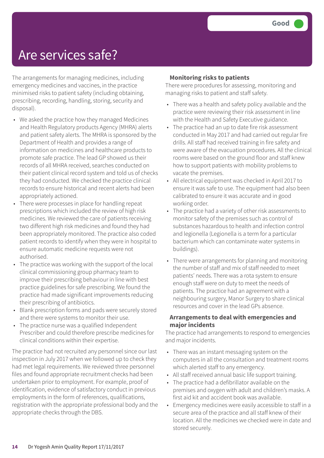## Are services safe?

The arrangements for managing medicines, including emergency medicines and vaccines, in the practice minimised risks to patient safety (including obtaining, prescribing, recording, handling, storing, security and disposal).

- We asked the practice how they managed Medicines and Health Regulatory products Agency (MHRA) alerts and patient safety alerts. The MHRA is sponsored by the Department of Health and provides a range of information on medicines and healthcare products to promote safe practice. The lead GP showed us their records of all MHRA received, searches conducted on their patient clinical record system and told us of checks they had conducted. We checked the practice clinical records to ensure historical and recent alerts had been appropriately actioned.
- There were processes in place for handling repeat prescriptions which included the review of high risk medicines. We reviewed the care of patients receiving two different high risk medicines and found they had been appropriately monitored. The practice also coded patient records to identify when they were in hospital to ensure automatic medicine requests were not authorised.
- The practice was working with the support of the local clinical commissioning group pharmacy team to improve their prescribing behaviour in line with best practice guidelines for safe prescribing. We found the practice had made significant improvements reducing their prescribing of antibiotics.
- Blank prescription forms and pads were securely stored and there were systems to monitor their use.
- The practice nurse was a qualified Independent Prescriber and could therefore prescribe medicines for clinical conditions within their expertise.

The practice had not recruited any personnel since our last inspection in July 2017 when we followed up to check they had met legal requirements. We reviewed three personnel files and found appropriate recruitment checks had been undertaken prior to employment. For example, proof of identification, evidence of satisfactory conduct in previous employments in the form of references, qualifications, registration with the appropriate professional body and the appropriate checks through the DBS.

#### **Monitoring risks to patients**

There were procedures for assessing, monitoring and managing risks to patient and staff safety.

- There was a health and safety policy available and the practice were reviewing their risk assessment in line with the Health and Safety Executive guidance.
- The practice had an up to date fire risk assessment conducted in May 2017 and had carried out regular fire drills. All staff had received training in fire safety and were aware of the evacuation procedures. All the clinical rooms were based on the ground floor and staff knew how to support patients with mobility problems to vacate the premises.
- All electrical equipment was checked in April 2017 to ensure it was safe to use. The equipment had also been calibrated to ensure it was accurate and in good working order.
- The practice had a variety of other risk assessments to monitor safety of the premises such as control of substances hazardous to health and infection control and legionella (Legionella is a term for a particular bacterium which can contaminate water systems in buildings).
- There were arrangements for planning and monitoring the number of staff and mix of staff needed to meet patients' needs. There was a rota system to ensure enough staff were on duty to meet the needs of patients. The practice had an agreement with a neighbouring surgery, Manor Surgery to share clinical resources and cover in the lead GPs absence.

#### **Arrangements to deal with emergencies and major incidents**

The practice had arrangements to respond to emergencies and major incidents.

- There was an instant messaging system on the computers in all the consultation and treatment rooms which alerted staff to any emergency.
- All staff received annual basic life support training.
- The practice had a defibrillator available on the premises and oxygen with adult and children's masks. A first aid kit and accident book was available.
- Emergency medicines were easily accessible to staff in a secure area of the practice and all staff knew of their location. All the medicines we checked were in date and stored securely.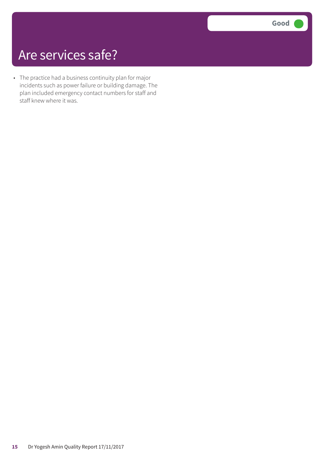## Are services safe?

• The practice had a business continuity plan for major incidents such as power failure or building damage. The plan included emergency contact numbers for staff and staff knew where it was.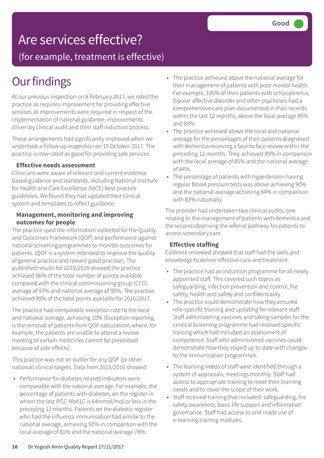## Are services effective?

(for example, treatment is effective)

## **Our findings**

At our previous inspection on 8 February 2017, we rated the practice as requires improvement for providing effective services as improvements were required in respect of the implementation of national guidance, improvements driven by clinical audit and their staff induction process.

These arrangements had significantly improved when we undertook a follow up inspection on 10 October 2017. The practice is now rated as good for providing safe services.

#### **Effective needs assessment**

Clinicians were aware of relevant and current evidence based guidance and standards, including National Institute for Health and Care Excellence (NICE) best practice guidelines. We found they had updated their clinical system and templates to reflect guidance.

#### **Management, monitoring and improving outcomes for people**

The practice used the information collected for the Quality and Outcomes Framework (QOF) and performance against national screening programmes to monitor outcomes for patients. (QOF is a system intended to improve the quality of general practice and reward good practice). The published results for 2015/2016 showed the practice achieved 96% of the total number of points available compared with the clinical commissioning group (CCG) average of 97% and national average of 95%. The practice achieved 99% of the total points available for 2016/2017.

The practice had comparable exception rate to the local and national average, achieving 10% (Exception reporting is the removal of patients from QOF calculations where, for example, the patients are unable to attend a review meeting or certain medicines cannot be prescribed because of side effects).

This practice was not an outlier for any QOF (or other national) clinical targets. Data from 2015/2016 showed:

• Performance for diabetes related indicators were comparable with the national average. For example, the percentage of patients with diabetes, on the register in whom the last IFCC-HbA1C is 64mmol/mol or less in the preceding 12 months. Patients on the diabetic register who had the influenza immunisation had similar to the national average, achieving 92% in comparison with the local average of 81% and the national average 78%.

- The practice achieved above the national average for their management of patients with poor mental health. For example, 100% of their patients with schizophrenia, bipolar affective disorder and other psychoses had a comprehensive care plan documented in their records within the last 12 months, above the local average 85% and 89%.
- The practice achieved above the local and national average for the percentages of their patients diagnosed with dementia receiving a face to face review within the preceding 12 months. They achieved 89% in comparison with the local average of 85% and the national average of 84%.
- The percentage of patients with hypertension having regular blood pressure tests was above achieving 90% and the national average achieving 84% in comparison with 83% nationally.

The provider had undertaken two clinical audits, one relating to the management of patients with dementia and the second observing the referral pathway for patients to access secondary care.

#### **Effective staffing**

Evidence reviewed showed that staff had the skills and knowledge to deliver effective care and treatment.

- The practice had an induction programme for all newly appointed staff. This covered such topics as safeguarding, infection prevention and control, fire safety, health and safety and confidentiality.
- The practice could demonstrate how they ensured role-specific training and updating for relevant staff. Staff administering vaccines and taking samples for the cervical screening programme had received specific training which had included an assessment of competence. Staff who administered vaccines could demonstrate how they stayed up to date with changes to the immunisation programmes.
- The learning needs of staff were identified through a system of appraisals, meetings monthly. Staff had access to appropriate training to meet their learning needs and to cover the scope of their work.
- Staff received training that included: safeguarding, fire safety awareness, basic life support and information governance. Staff had access to and made use of e-learning training modules.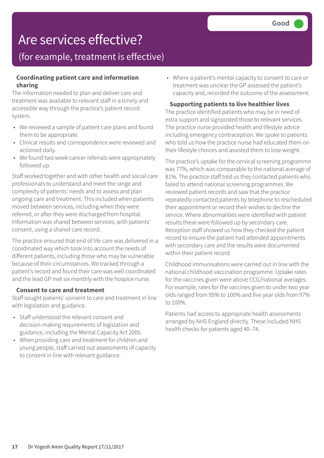## Are services effective?

### (for example, treatment is effective)

#### **Coordinating patient care and information sharing**

The information needed to plan and deliver care and treatment was available to relevant staff in a timely and accessible way through the practice's patient record system.

- We reviewed a sample of patient care plans and found them to be appropriate.
- Clinical results and correspondence were reviewed and actioned daily.
- We found two week cancer referrals were appropriately followed up.

Staff worked together and with other health and social care professionals to understand and meet the range and complexity of patients' needs and to assess and plan ongoing care and treatment. This included when patients moved between services, including when they were referred, or after they were discharged from hospital. Information was shared between services, with patients' consent, using a shared care record.

The practice ensured that end of life care was delivered in a coordinated way which took into account the needs of different patients, including those who may be vulnerable because of their circumstances. We tracked through a patient's record and found their care was well coordinated and the lead GP met six monthly with the hospice nurse.

#### **Consent to care and treatment**

Staff sought patients' consent to care and treatment in line with legislation and guidance.

- Staff understood the relevant consent and decision-making requirements of legislation and guidance, including the Mental Capacity Act 2005.
- When providing care and treatment for children and young people, staff carried out assessments of capacity to consent in line with relevant guidance.

• Where a patient's mental capacity to consent to care or treatment was unclear the GP assessed the patient's capacity and, recorded the outcome of the assessment.

#### **Supporting patients to live healthier lives**

The practice identified patients who may be in need of extra support and signposted those to relevant services. The practice nurse provided health and lifestyle advice including emergency contraception. We spoke to patients who told us how the practice nurse had educated them on their lifestyle choices and assisted them to lose weight.

The practice's uptake for the cervical screening programme was 77%, which was comparable to the national average of 81%. The practice staff told us they contacted patients who failed to attend national screening programmes. We reviewed patient records and saw that the practice repeatedly contacted patients by telephone to rescheduled their appointment or record their wishes to decline the service. Where abnormalities were identified with patient results these were followed up by secondary care. Reception staff showed us how they checked the patient record to ensure the patient had attended appointments with secondary care and the results were documented within their patient record.

Childhood immunisations were carried out in line with the national childhood vaccination programme. Uptake rates for the vaccines given were above CCG/national averages. For example, rates for the vaccines given to under two year olds ranged from 95% to 100% and five year olds from 97% to 100%.

Patients had access to appropriate health assessments arranged by NHS England directly. These included NHS health checks for patients aged 40–74.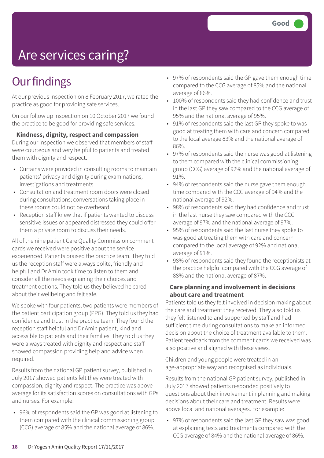# Are services caring?

## **Our findings**

At our previous inspection on 8 February 2017, we rated the practice as good for providing safe services.

On our follow up inspection on 10 October 2017 we found the practice to be good for providing safe services.

**Kindness, dignity, respect and compassion**

During our inspection we observed that members of staff were courteous and very helpful to patients and treated them with dignity and respect.

- Curtains were provided in consulting rooms to maintain patients' privacy and dignity during examinations, investigations and treatments.
- Consultation and treatment room doors were closed during consultations; conversations taking place in these rooms could not be overheard.
- Reception staff knew that if patients wanted to discuss sensitive issues or appeared distressed they could offer them a private room to discuss their needs.

All of the nine patient Care Quality Commission comment cards we received were positive about the service experienced. Patients praised the practice team. They told us the reception staff were always polite, friendly and helpful and Dr Amin took time to listen to them and consider all the needs explaining their choices and treatment options. They told us they believed he cared about their wellbeing and felt safe.

We spoke with four patients; two patients were members of the patient participation group (PPG). They told us they had confidence and trust in the practice team. They found the reception staff helpful and Dr Amin patient, kind and accessible to patients and their families. They told us they were always treated with dignity and respect and staff showed compassion providing help and advice when required.

Results from the national GP patient survey, published in July 2017 showed patients felt they were treated with compassion, dignity and respect. The practice was above average for its satisfaction scores on consultations with GPs and nurses. For example:

• 96% of respondents said the GP was good at listening to them compared with the clinical commissioning group (CCG) average of 85% and the national average of 86%.

- 97% of respondents said the GP gave them enough time compared to the CCG average of 85% and the national average of 86%.
- 100% of respondents said they had confidence and trust in the last GP they saw compared to the CCG average of 95% and the national average of 95%.
- 91% of respondents said the last GP they spoke to was good at treating them with care and concern compared to the local average 83% and the national average of 86%.
- 97% of respondents said the nurse was good at listening to them compared with the clinical commissioning group (CCG) average of 92% and the national average of 91%.
- 94% of respondents said the nurse gave them enough time compared with the CCG average of 94% and the national average of 92%.
- 98% of respondents said they had confidence and trust in the last nurse they saw compared with the CCG average of 97% and the national average of 97%.
- 95% of respondents said the last nurse they spoke to was good at treating them with care and concern compared to the local average of 92% and national average of 91%.
- 98% of respondents said they found the receptionists at the practice helpful compared with the CCG average of 88% and the national average of 87%.

#### **Care planning and involvement in decisions about care and treatment**

Patients told us they felt involved in decision making about the care and treatment they received. They also told us they felt listened to and supported by staff and had sufficient time during consultations to make an informed decision about the choice of treatment available to them. Patient feedback from the comment cards we received was also positive and aligned with these views.

Children and young people were treated in an age-appropriate way and recognised as individuals.

Results from the national GP patient survey, published in July 2017 showed patients responded positively to questions about their involvement in planning and making decisions about their care and treatment. Results were above local and national averages. For example:

• 97% of respondents said the last GP they saw was good at explaining tests and treatments compared with the CCG average of 84% and the national average of 86%.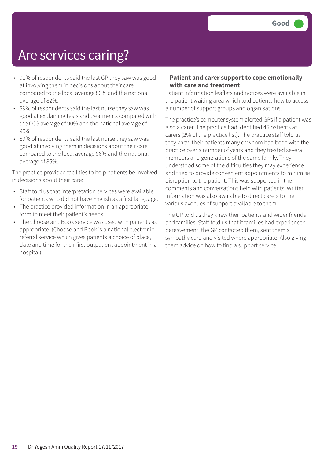## Are services caring?

- 91% of respondents said the last GP they saw was good at involving them in decisions about their care compared to the local average 80% and the national average of 82%.
- 89% of respondents said the last nurse they saw was good at explaining tests and treatments compared with the CCG average of 90% and the national average of 90%.
- 89% of respondents said the last nurse they saw was good at involving them in decisions about their care compared to the local average 86% and the national average of 85%.

The practice provided facilities to help patients be involved in decisions about their care:

- Staff told us that interpretation services were available for patients who did not have English as a first language.
- The practice provided information in an appropriate form to meet their patient's needs.
- The Choose and Book service was used with patients as appropriate. (Choose and Book is a national electronic referral service which gives patients a choice of place, date and time for their first outpatient appointment in a hospital).

#### **Patient and carer support to cope emotionally with care and treatment**

Patient information leaflets and notices were available in the patient waiting area which told patients how to access a number of support groups and organisations.

The practice's computer system alerted GPs if a patient was also a carer. The practice had identified 46 patients as carers (2% of the practice list). The practice staff told us they knew their patients many of whom had been with the practice over a number of years and they treated several members and generations of the same family. They understood some of the difficulties they may experience and tried to provide convenient appointments to minimise disruption to the patient. This was supported in the comments and conversations held with patients. Written information was also available to direct carers to the various avenues of support available to them.

The GP told us they knew their patients and wider friends and families. Staff told us that if families had experienced bereavement, the GP contacted them, sent them a sympathy card and visited where appropriate. Also giving them advice on how to find a support service.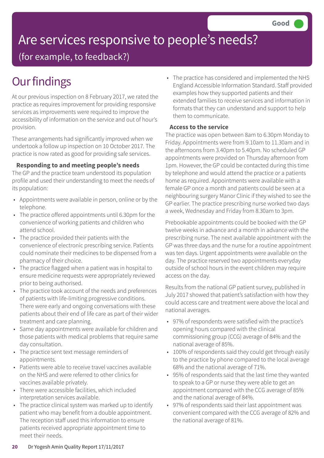# Are services responsive to people's needs?

(for example, to feedback?)

## **Our findings**

At our previous inspection on 8 February 2017, we rated the practice as requires improvement for providing responsive services as improvements were required to improve the accessibility of information on the service and out of hour's provision.

These arrangements had significantly improved when we undertook a follow up inspection on 10 October 2017. The practice is now rated as good for providing safe services.

#### **Responding to and meeting people's needs**

The GP and the practice team understood its population profile and used their understanding to meet the needs of its population:

- Appointments were available in person, online or by the telephone.
- The practice offered appointments until 6.30pm for the convenience of working patients and children who attend school.
- The practice provided their patients with the convenience of electronic prescribing service. Patients could nominate their medicines to be dispensed from a pharmacy of their choice.
- The practice flagged when a patient was in hospital to ensure medicine requests were appropriately reviewed prior to being authorised.
- The practice took account of the needs and preferences of patients with life-limiting progressive conditions. There were early and ongoing conversations with these patients about their end of life care as part of their wider treatment and care planning.
- Same day appointments were available for children and those patients with medical problems that require same day consultation.
- The practice sent text message reminders of appointments.
- Patients were able to receive travel vaccines available on the NHS and were referred to other clinics for vaccines available privately.
- There were accessible facilities, which included interpretation services available.
- The practice clinical system was marked up to identify patient who may benefit from a double appointment. The reception staff used this information to ensure patients received appropriate appointment time to meet their needs.

• The practice has considered and implemented the NHS England Accessible Information Standard. Staff provided examples how they supported patients and their extended families to receive services and information in formats that they can understand and support to help them to communicate.

#### **Access to the service**

The practice was open between 8am to 6.30pm Monday to Friday. Appointments were from 9.10am to 11.30am and in the afternoons from 3.40pm to 5.40pm. No scheduled GP appointments were provided on Thursday afternoon from 1pm. However, the GP could be contacted during this time by telephone and would attend the practice or a patients home as required. Appointments were available with a female GP once a month and patients could be seen at a neighbouring surgery Manor Clinic if they wished to see the GP earlier. The practice prescribing nurse worked two days a week, Wednesday and Friday from 8.30am to 3pm.

Prebookable appointments could be booked with the GP twelve weeks in advance and a month in advance with the prescribing nurse. The next available appointment with the GP was three days and the nurse for a routine appointment was ten days. Urgent appointments were available on the day. The practice reserved two appointments everyday outside of school hours in the event children may require access on the day.

Results from the national GP patient survey, published in July 2017 showed that patient's satisfaction with how they could access care and treatment were above the local and national averages.

- 97% of respondents were satisfied with the practice's opening hours compared with the clinical commissioning group (CCG) average of 84% and the national average of 85%.
- 100% of respondents said they could get through easily to the practice by phone compared to the local average 68% and the national average of 71%.
- 95% of respondents said that the last time they wanted to speak to a GP or nurse they were able to get an appointment compared with the CCG average of 85% and the national average of 84%.
- 97% of respondents said their last appointment was convenient compared with the CCG average of 82% and the national average of 81%.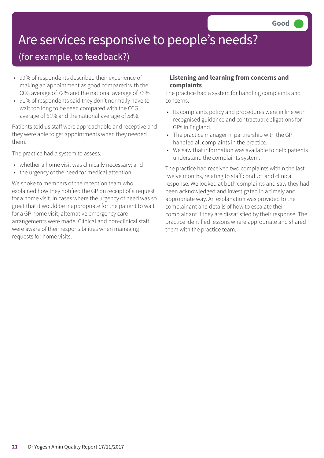# Are services responsive to people's needs?

### (for example, to feedback?)

- 99% of respondents described their experience of making an appointment as good compared with the CCG average of 72% and the national average of 73%.
- 91% of respondents said they don't normally have to wait too long to be seen compared with the CCG average of 61% and the national average of 58%.

Patients told us staff were approachable and receptive and they were able to get appointments when they needed them.

The practice had a system to assess:

- whether a home visit was clinically necessary; and
- the urgency of the need for medical attention.

We spoke to members of the reception team who explained how they notified the GP on receipt of a request for a home visit. In cases where the urgency of need was so great that it would be inappropriate for the patient to wait for a GP home visit, alternative emergency care arrangements were made. Clinical and non-clinical staff were aware of their responsibilities when managing requests for home visits.

#### **Listening and learning from concerns and complaints**

The practice had a system for handling complaints and concerns.

- Its complaints policy and procedures were in line with recognised guidance and contractual obligations for GPs in England.
- The practice manager in partnership with the GP handled all complaints in the practice.
- We saw that information was available to help patients understand the complaints system.

The practice had received two complaints within the last twelve months, relating to staff conduct and clinical response. We looked at both complaints and saw they had been acknowledged and investigated in a timely and appropriate way. An explanation was provided to the complainant and details of how to escalate their complainant if they are dissatisfied by their response. The practice identified lessons where appropriate and shared them with the practice team.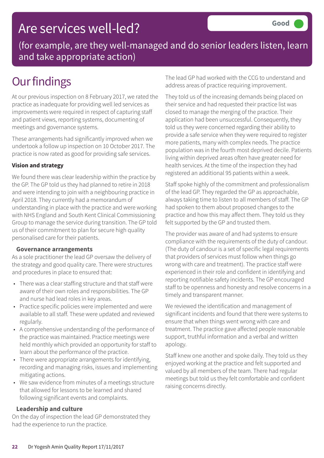## Are services well-led?

(for example, are they well-managed and do senior leaders listen, learn and take appropriate action)

## **Our findings**

At our previous inspection on 8 February 2017, we rated the practice as inadequate for providing well led services as improvements were required in respect of capturing staff and patient views, reporting systems, documenting of meetings and governance systems.

These arrangements had significantly improved when we undertook a follow up inspection on 10 October 2017. The practice is now rated as good for providing safe services.

#### **Vision and strategy**

We found there was clear leadership within the practice by the GP. The GP told us they had planned to retire in 2018 and were intending to join with a neighbouring practice in April 2018. They currently had a memorandum of understanding in place with the practice and were working with NHS England and South Kent Clinical Commissioning Group to manage the service during transition. The GP told us of their commitment to plan for secure high quality personalised care for their patients.

#### **Governance arrangements**

As a sole practitioner the lead GP oversaw the delivery of the strategy and good quality care. There were structures and procedures in place to ensured that:

- There was a clear staffing structure and that staff were aware of their own roles and responsibilities. The GP and nurse had lead roles in key areas.
- Practice specific policies were implemented and were available to all staff. These were updated and reviewed regularly.
- A comprehensive understanding of the performance of the practice was maintained. Practice meetings were held monthly which provided an opportunity for staff to learn about the performance of the practice.
- There were appropriate arrangements for identifying, recording and managing risks, issues and implementing mitigating actions.
- We saw evidence from minutes of a meetings structure that allowed for lessons to be learned and shared following significant events and complaints.

#### **Leadership and culture**

On the day of inspection the lead GP demonstrated they had the experience to run the practice.

The lead GP had worked with the CCG to understand and address areas of practice requiring improvement.

They told us of the increasing demands being placed on their service and had requested their practice list was closed to manage the merging of the practice. Their application had been unsuccessful. Consequently, they told us they were concerned regarding their ability to provide a safe service when they were required to register more patients, many with complex needs. The practice population was in the fourth most deprived decile. Patients living within deprived areas often have greater need for health services. At the time of the inspection they had registered an additional 95 patients within a week.

Staff spoke highly of the commitment and professionalism of the lead GP. They regarded the GP as approachable, always taking time to listen to all members of staff. The GP had spoken to them about proposed changes to the practice and how this may affect them. They told us they felt supported by the GP and trusted them.

The provider was aware of and had systems to ensure compliance with the requirements of the duty of candour. (The duty of candour is a set of specific legal requirements that providers of services must follow when things go wrong with care and treatment). The practice staff were experienced in their role and confident in identifying and reporting notifiable safety incidents. The GP encouraged staff to be openness and honesty and resolve concerns in a timely and transparent manner.

We reviewed the identification and management of significant incidents and found that there were systems to ensure that when things went wrong with care and treatment. The practice gave affected people reasonable support, truthful information and a verbal and written apology.

Staff knew one another and spoke daily. They told us they enjoyed working at the practice and felt supported and valued by all members of the team. There had regular meetings but told us they felt comfortable and confident raising concerns directly.